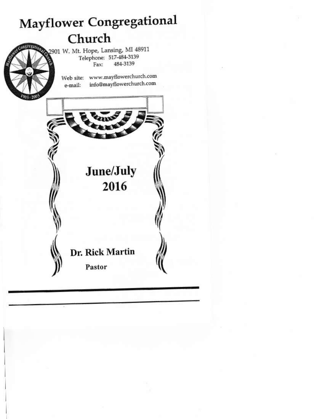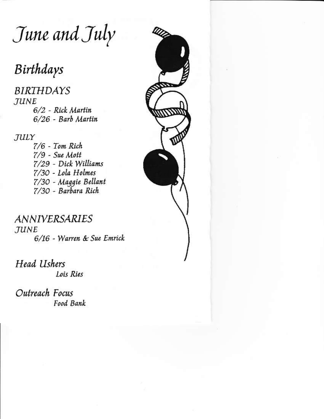June and July

# Birthdays

**BIRTHDAYS JUNE** 6/2 - Rick Martin 6/26 - Barb Martin

JULY

7/6 - Tom Rich  $7/9$  - Sue Mott 7/29 - Dick Williams 7/30 - Lola Holmes 7/30 - Maggie Bellant 7/30 - Barbara Rich

**ANNIVERSARIES JUNE** 6/16 - Warren & Sue Emrick

**Head Ushers** Lois Ries

Outreach Focus Food Bank

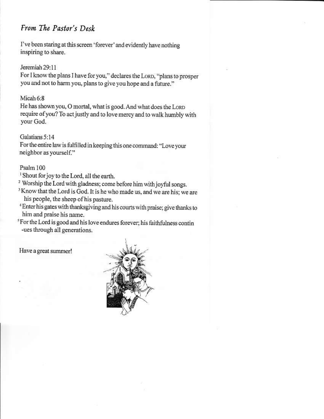# From The Pastor's Desk

I've been staring at this screen 'forever' and evidently have nothing inspiring to share.

Jeremiah 29:11 For I know the plans I have for you," declares the LORD, "plans to prosper you and not to harm you, plans to give you hope and a future."

 $Micah 6:8$ He has shown you, O mortal, what is good. And what does the LORD require of you? To act justly and to love mercy and to walk humbly with your God.

Galatians 5:14 For the entire law is fulfilled in keeping this one command: "Love your neighbor as yourself."

Psalm 100

- <sup>1</sup> Shout for joy to the Lord, all the earth.
- <sup>2</sup> Worship the Lord with gladness; come before him with joyful songs.
- <sup>3</sup> Know that the Lord is God. It is he who made us, and we are his; we are his people, the sheep of his pasture.
- <sup>4</sup> Enter his gates with thanksgiving and his courts with praise; give thanks to him and praise his name.
- <sup>5</sup> For the Lord is good and his love endures forever; his faithfulness contin -ues through all generations.

Have a great summer!

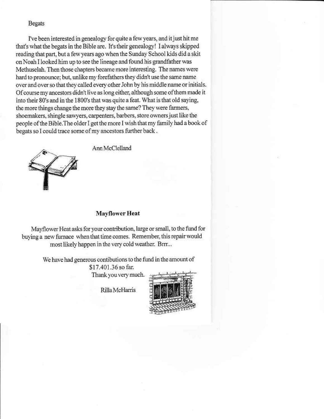### **Begats**

I've been interested in genealogy for quite a few years, and it just hit me that's what the begats in the Bible are. It's their genealogy! I always skipped reading that part, but a few years ago when the Sunday School kids did a skit on Noah I looked him up to see the lineage and found his grandfather was Methuselah. Then those chapters became more interesting. The names were hard to pronounce; but, unlike my forefathers they didn't use the same name over and over so that they called every other John by his middle name or initials. Of course my ancestors didn't live as long either, although some of them made it into their 80's and in the 1800's that was quite a feat. What is that old saying, the more things change the more they stay the same? They were farmers, shoemakers, shingle sawyers, carpenters, barbers, store owners just like the people of the Bible. The older I get the more I wish that my family had a book of begats so I could trace some of my ancestors further back.

Ann McClelland



# **Mayflower Heat**

Mayflower Heat asks for your contribution, large or small, to the fund for buying a new furnace when that time comes. Remember, this repair would most likely happen in the very cold weather. Brrr...

> We have had generous contibutions to the fund in the amount of \$17.401.36 so far. Thank you very much.

> > Rilla McHarris

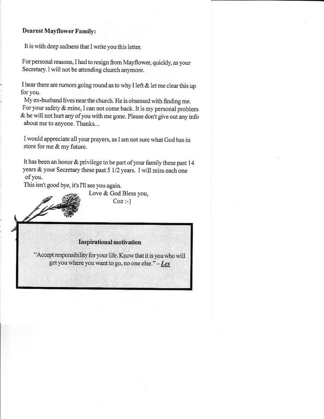## **Dearest Mayflower Family:**

It is with deep sadness that I write you this letter.

For personal reasons, I had to resign from Mayflower, quickly, as your Secretary. 1 will not be attending church anymore.

I hear there are rumors going round as to why I left  $&$  let me clear this up for you.

My ex-husband lives near the church. He is obsessed with finding me. For your safety & mine, I can not come back. It is my personal problem & he will not hurt any of you with me gone. Please don't give out any info about me to anyone. Thanks...

I would appreciate all your prayers, as I am not sure what God has in store for me & my future.

It has been an honor & privilege to be part of your family these past 14 years & your Secretary these past 5 1/2 years. I will miss each one of you.

This isn't good bye, it's I'll see you again.

Love & God Bless vou,  $Coz : \}$ 

### **Inspirational motivation**

'Accept responsibility for your life. Know that it is you who will get you where you want to go, no one else." - Les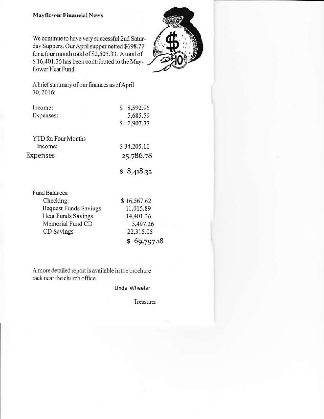#### **Mayflower Financial News**

We continue to have very successful 2nd Saturday Suppers. Our April supper netted \$698.77 for a four month total of \$2,505.33. A total of \$16,401.36 has been contributed to the Mayflower Heat Fund.



A brief summary of our finances as of April 30, 2016:

| Income:                    | \$ 8,592.96 |
|----------------------------|-------------|
| Expenses:                  | 5,685.59    |
|                            | \$2,907.37  |
| <b>YTD</b> for Four Months |             |

| Income:   | \$34,205.10 |
|-----------|-------------|
| Expenses: | 25,786.78   |
|           |             |

 $$8,418.32$ 

| Fund Balances:               |             |  |
|------------------------------|-------------|--|
| Checking:                    | \$16,567.62 |  |
| <b>Bequest Funds Savings</b> | 11,015.89   |  |
| <b>Heat Funds Savings</b>    | 14,401.36   |  |
| Memorial Fund CD             | 5,497.26    |  |
| CD Savings                   | 22,315.05   |  |
|                              | 69,797.18   |  |

A more detailed report is available in the brochure rack near the church office.

Linda Wheeler

Treasurer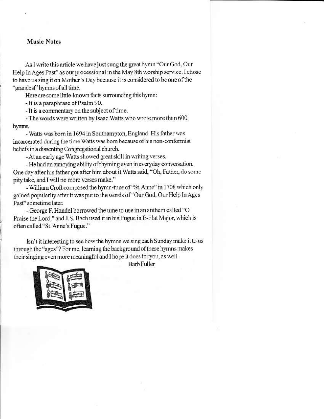#### **Music Notes**

As I write this article we have just sung the great hymn "Our God, Our Help In Ages Past" as our processional in the May 8th worship service. I chose to have us sing it on Mother's Day because it is considered to be one of the "grandest" hymns of all time.

Here are some little-known facts surrounding this hymn:

- It is a paraphrase of Psalm 90.

- It is a commentary on the subject of time.

- The words were written by Isaac Watts who wrote more than 600 hymns.

- Watts was born in 1694 in Southampton, England. His father was incarcerated during the time Watts was born because of his non-conformist beliefs in a dissenting Congregational church.

- At an early age Watts showed great skill in writing verses.

- He had an annoving ability of rhyming even in everyday conversation. One day after his father got after him about it Watts said, "Oh, Father, do some pity take, and I will no more verses make."

- William Croft composed the hymn-tune of "St. Anne" in 1708 which only gained popularity after it was put to the words of "Our God, Our Help In Ages Past" sometime later.

- George F. Handel borrowed the tune to use in an anthem called "O Praise the Lord," and J.S. Bach used it in his Fugue in E-Flat Major, which is often called "St. Anne's Fugue."

Isn't it interesting to see how the hymns we sing each Sunday make it to us through the "ages"? For me, learning the background of these hymns makes their singing even more meaningful and I hope it does for you, as well.



**Barb Fuller**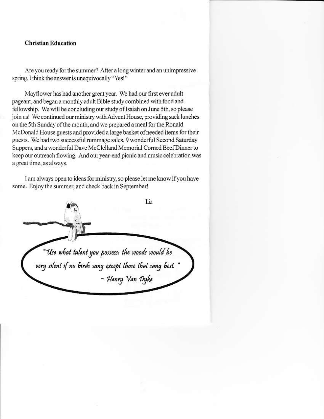#### **Christian Education**

Are you ready for the summer? After a long winter and an unimpressive spring, I think the answer is unequivocally "Yes!"

Mayflower has had another great year. We had our first ever adult pageant, and began a monthly adult Bible study combined with food and fellowship. We will be concluding our study of Isaiah on June 5th, so please join us! We continued our ministry with Advent House, providing sack lunches on the 5th Sunday of the month, and we prepared a meal for the Ronald McDonald House guests and provided a large basket of needed items for their guests. We had two successful rummage sales, 9 wonderful Second Saturday Suppers, and a wonderful Dave McClelland Memorial Corned Beef Dinner to keep our outreach flowing. And our year-end picnic and music celebration was a great time, as always.

I am always open to ideas for ministry, so please let me know if you have some. Enjoy the summer, and check back in September!